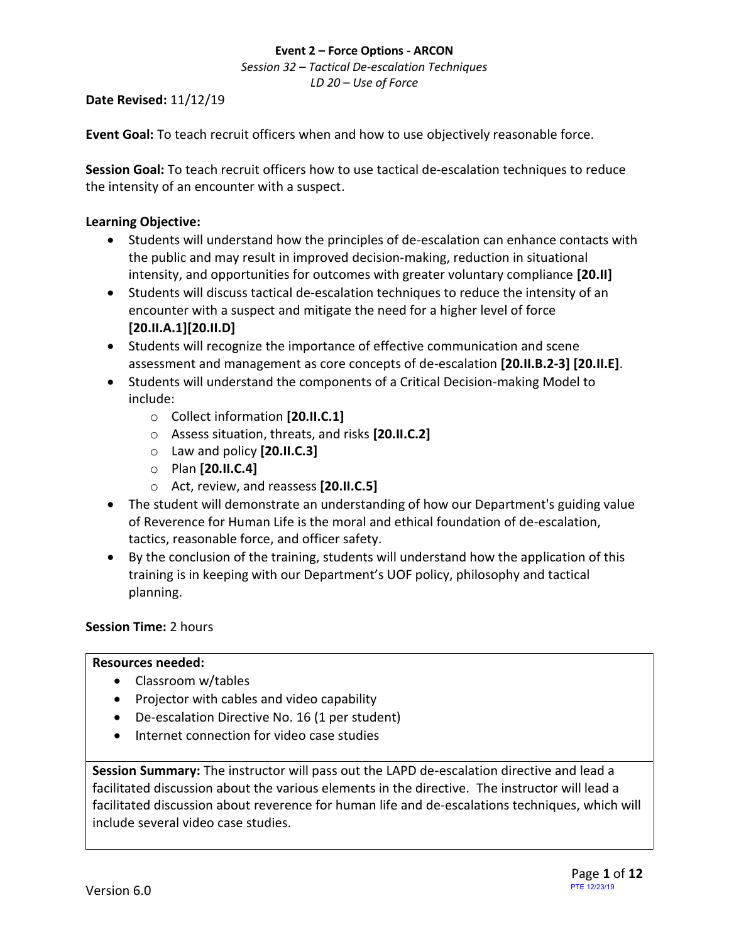*Session 32 – Tactical De-escalation Techniques LD 20 – Use of Force*

#### **Date Revised:** 11/12/19

**Event Goal:** To teach recruit officers when and how to use objectively reasonable force.

**Session Goal:** To teach recruit officers how to use tactical de-escalation techniques to reduce the intensity of an encounter with a suspect.

## **Learning Objective:**

- Students will understand how the principles of de-escalation can enhance contacts with the public and may result in improved decision-making, reduction in situational intensity, and opportunities for outcomes with greater voluntary compliance **[20.II]**
- Students will discuss tactical de-escalation techniques to reduce the intensity of an encounter with a suspect and mitigate the need for a higher level of force **[20.II.A.1][20.II.D]**
- Students will recognize the importance of effective communication and scene assessment and management as core concepts of de-escalation **[20.II.B.2-3] [20.II.E]**.
- Students will understand the components of a Critical Decision-making Model to include:
	- o Collect information **[20.II.C.1]**
	- o Assess situation, threats, and risks **[20.II.C.2]**
	- o Law and policy **[20.II.C.3]**
	- o Plan **[20.II.C.4]**
	- o Act, review, and reassess **[20.II.C.5]**
- The student will demonstrate an understanding of how our Department's guiding value of Reverence for Human Life is the moral and ethical foundation of de-escalation, tactics, reasonable force, and officer safety.
- By the conclusion of the training, students will understand how the application of this training is in keeping with our Department's UOF policy, philosophy and tactical planning.

## **Session Time:** 2 hours

#### **Resources needed:**

- Classroom w/tables
- Projector with cables and video capability
- De-escalation Directive No. 16 (1 per student)
- Internet connection for video case studies

**Session Summary:** The instructor will pass out the LAPD de-escalation directive and lead a facilitated discussion about the various elements in the directive. The instructor will lead a facilitated discussion about reverence for human life and de-escalations techniques, which will include several video case studies.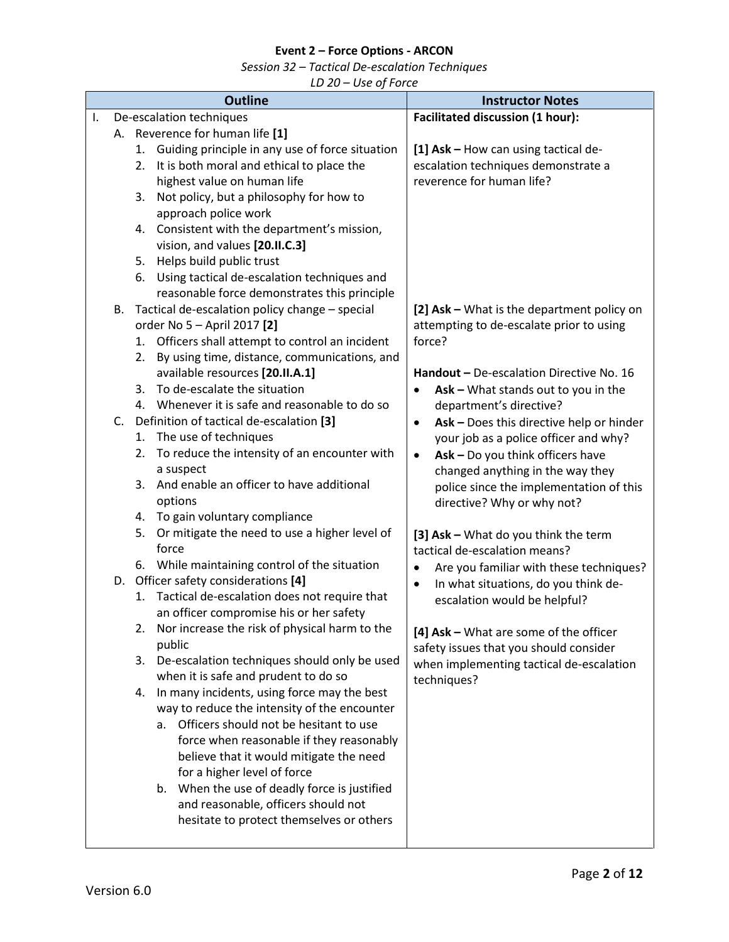*Session 32 – Tactical De-escalation Techniques*

|    | <b>Outline</b>                                                                                                                                                                                                                                                                                                                                                                                                                                                                                                                                                                                                                                                                                                                                                                                                                                                                                                                                                                                                                                                                                                                                                                                                                                                                                                                            | <b>Instructor Notes</b>                                                                                                                                                                                                                                                                                                                                                                                                                                                                                                                                                                                                                                                                                                                                                                                                                                                 |
|----|-------------------------------------------------------------------------------------------------------------------------------------------------------------------------------------------------------------------------------------------------------------------------------------------------------------------------------------------------------------------------------------------------------------------------------------------------------------------------------------------------------------------------------------------------------------------------------------------------------------------------------------------------------------------------------------------------------------------------------------------------------------------------------------------------------------------------------------------------------------------------------------------------------------------------------------------------------------------------------------------------------------------------------------------------------------------------------------------------------------------------------------------------------------------------------------------------------------------------------------------------------------------------------------------------------------------------------------------|-------------------------------------------------------------------------------------------------------------------------------------------------------------------------------------------------------------------------------------------------------------------------------------------------------------------------------------------------------------------------------------------------------------------------------------------------------------------------------------------------------------------------------------------------------------------------------------------------------------------------------------------------------------------------------------------------------------------------------------------------------------------------------------------------------------------------------------------------------------------------|
| I. | De-escalation techniques                                                                                                                                                                                                                                                                                                                                                                                                                                                                                                                                                                                                                                                                                                                                                                                                                                                                                                                                                                                                                                                                                                                                                                                                                                                                                                                  | <b>Facilitated discussion (1 hour):</b>                                                                                                                                                                                                                                                                                                                                                                                                                                                                                                                                                                                                                                                                                                                                                                                                                                 |
| В. | A. Reverence for human life [1]<br>1. Guiding principle in any use of force situation<br>It is both moral and ethical to place the<br>2.<br>highest value on human life<br>3. Not policy, but a philosophy for how to<br>approach police work<br>4. Consistent with the department's mission,<br>vision, and values [20.II.C.3]<br>5. Helps build public trust<br>6. Using tactical de-escalation techniques and<br>reasonable force demonstrates this principle<br>Tactical de-escalation policy change - special<br>order No 5 - April 2017 [2]<br>1. Officers shall attempt to control an incident<br>By using time, distance, communications, and<br>2.<br>available resources [20.II.A.1]<br>3. To de-escalate the situation<br>4. Whenever it is safe and reasonable to do so<br>C. Definition of tactical de-escalation [3]<br>1. The use of techniques<br>2. To reduce the intensity of an encounter with<br>a suspect<br>And enable an officer to have additional<br>3.<br>options<br>4. To gain voluntary compliance<br>Or mitigate the need to use a higher level of<br>5.<br>force<br>6. While maintaining control of the situation<br>D. Officer safety considerations [4]<br>1. Tactical de-escalation does not require that<br>an officer compromise his or her safety<br>2. Nor increase the risk of physical harm to the | [1] Ask - How can using tactical de-<br>escalation techniques demonstrate a<br>reverence for human life?<br>[2] Ask - What is the department policy on<br>attempting to de-escalate prior to using<br>force?<br>Handout - De-escalation Directive No. 16<br>Ask - What stands out to you in the<br>$\bullet$<br>department's directive?<br>Ask - Does this directive help or hinder<br>$\bullet$<br>your job as a police officer and why?<br>Ask - Do you think officers have<br>$\bullet$<br>changed anything in the way they<br>police since the implementation of this<br>directive? Why or why not?<br>[3] Ask - What do you think the term<br>tactical de-escalation means?<br>Are you familiar with these techniques?<br>$\bullet$<br>In what situations, do you think de-<br>$\bullet$<br>escalation would be helpful?<br>[4] Ask - What are some of the officer |
|    | public<br>3. De-escalation techniques should only be used<br>when it is safe and prudent to do so<br>In many incidents, using force may the best<br>4.<br>way to reduce the intensity of the encounter<br>Officers should not be hesitant to use<br>a.<br>force when reasonable if they reasonably<br>believe that it would mitigate the need<br>for a higher level of force<br>When the use of deadly force is justified<br>b.<br>and reasonable, officers should not<br>hesitate to protect themselves or others                                                                                                                                                                                                                                                                                                                                                                                                                                                                                                                                                                                                                                                                                                                                                                                                                        | safety issues that you should consider<br>when implementing tactical de-escalation<br>techniques?                                                                                                                                                                                                                                                                                                                                                                                                                                                                                                                                                                                                                                                                                                                                                                       |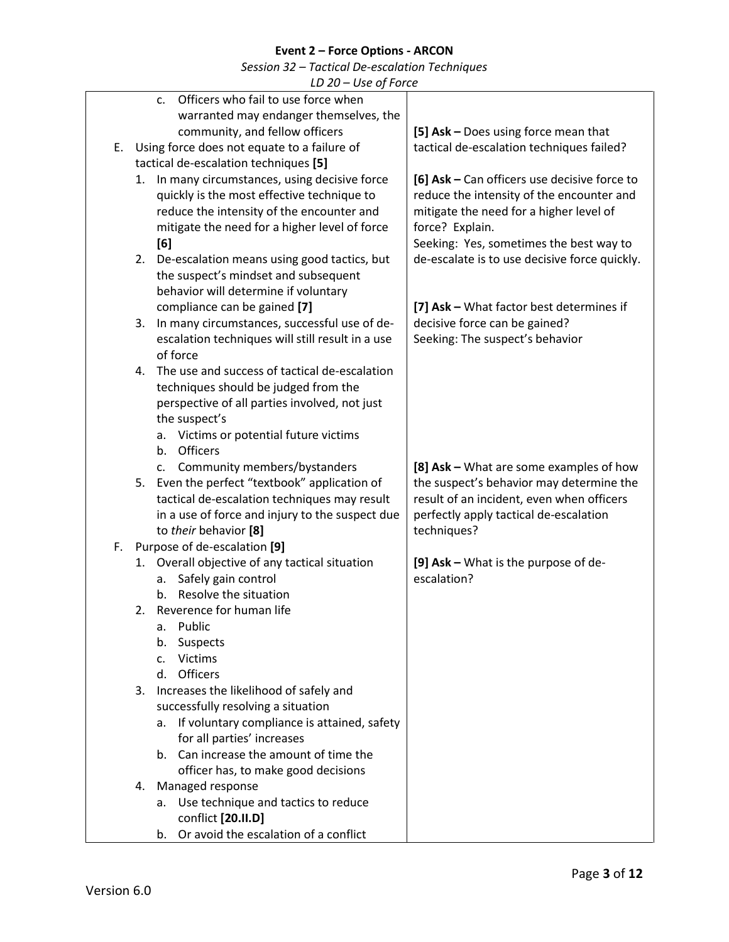| $LD$ 20 – Use of Force |  |
|------------------------|--|
|------------------------|--|

|    |    | LD ZU – USE UJ FUILE                              |                                               |
|----|----|---------------------------------------------------|-----------------------------------------------|
|    |    | Officers who fail to use force when<br>c.         |                                               |
|    |    | warranted may endanger themselves, the            |                                               |
|    |    | community, and fellow officers                    | [5] Ask - Does using force mean that          |
| Ε. |    | Using force does not equate to a failure of       | tactical de-escalation techniques failed?     |
|    |    | tactical de-escalation techniques [5]             |                                               |
|    | 1. | In many circumstances, using decisive force       | [6] Ask - Can officers use decisive force to  |
|    |    | quickly is the most effective technique to        | reduce the intensity of the encounter and     |
|    |    | reduce the intensity of the encounter and         | mitigate the need for a higher level of       |
|    |    | mitigate the need for a higher level of force     | force? Explain.                               |
|    |    | [6]                                               | Seeking: Yes, sometimes the best way to       |
|    |    | 2. De-escalation means using good tactics, but    | de-escalate is to use decisive force quickly. |
|    |    | the suspect's mindset and subsequent              |                                               |
|    |    | behavior will determine if voluntary              |                                               |
|    |    | compliance can be gained [7]                      | [7] Ask - What factor best determines if      |
|    | 3. | In many circumstances, successful use of de-      | decisive force can be gained?                 |
|    |    | escalation techniques will still result in a use  | Seeking: The suspect's behavior               |
|    |    | of force                                          |                                               |
|    |    | 4. The use and success of tactical de-escalation  |                                               |
|    |    | techniques should be judged from the              |                                               |
|    |    | perspective of all parties involved, not just     |                                               |
|    |    | the suspect's                                     |                                               |
|    |    | a. Victims or potential future victims            |                                               |
|    |    | <b>Officers</b><br>b.                             |                                               |
|    |    | c. Community members/bystanders                   | [8] Ask – What are some examples of how       |
|    |    | 5. Even the perfect "textbook" application of     | the suspect's behavior may determine the      |
|    |    | tactical de-escalation techniques may result      | result of an incident, even when officers     |
|    |    | in a use of force and injury to the suspect due   | perfectly apply tactical de-escalation        |
|    |    | to their behavior [8]                             | techniques?                                   |
| F. |    | Purpose of de-escalation [9]                      |                                               |
|    |    | 1. Overall objective of any tactical situation    | [9] Ask - What is the purpose of de-          |
|    |    | Safely gain control<br>а.                         | escalation?                                   |
|    |    | Resolve the situation<br>b.                       |                                               |
|    |    | 2. Reverence for human life                       |                                               |
|    |    | Public<br>a.                                      |                                               |
|    |    | Suspects<br>b.                                    |                                               |
|    |    | <b>Victims</b><br>C.                              |                                               |
|    |    | Officers<br>d.                                    |                                               |
|    | 3. | Increases the likelihood of safely and            |                                               |
|    |    | successfully resolving a situation                |                                               |
|    |    | If voluntary compliance is attained, safety<br>а. |                                               |
|    |    | for all parties' increases                        |                                               |
|    |    | Can increase the amount of time the<br>b.         |                                               |
|    |    | officer has, to make good decisions               |                                               |
|    | 4. | Managed response                                  |                                               |
|    |    | a. Use technique and tactics to reduce            |                                               |
|    |    | conflict [20.II.D]                                |                                               |
|    |    | Or avoid the escalation of a conflict<br>b.       |                                               |
|    |    |                                                   |                                               |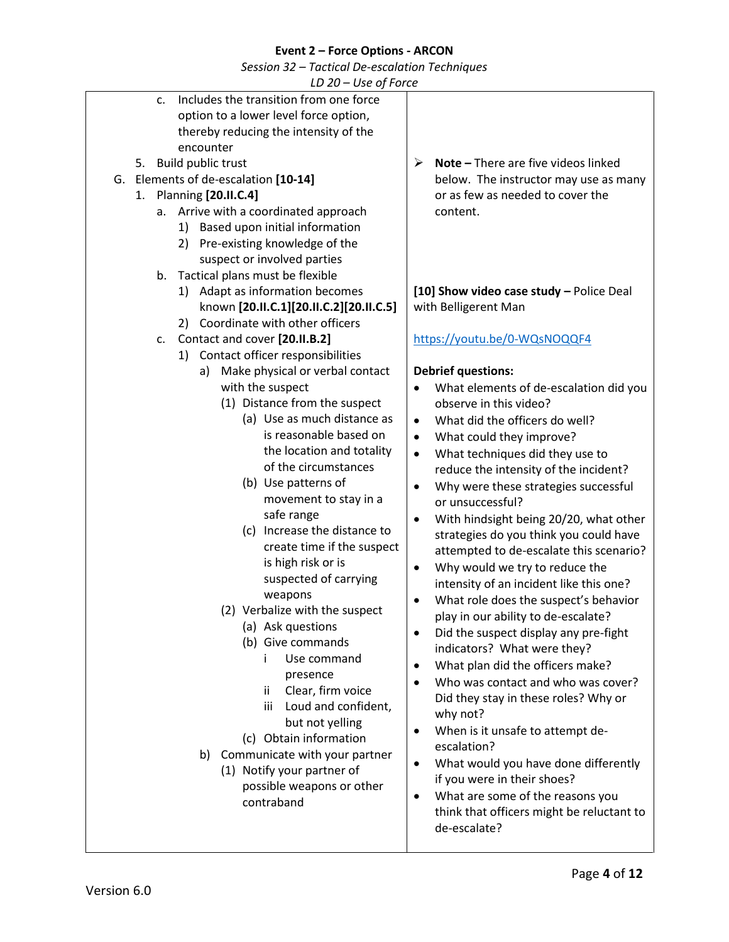| $LD 20 - Use of Force$                                |                                                     |  |  |  |
|-------------------------------------------------------|-----------------------------------------------------|--|--|--|
| Includes the transition from one force<br>$C_{\star}$ |                                                     |  |  |  |
| option to a lower level force option,                 |                                                     |  |  |  |
| thereby reducing the intensity of the                 |                                                     |  |  |  |
| encounter                                             |                                                     |  |  |  |
| Build public trust<br>5.                              | Note - There are five videos linked<br>≻            |  |  |  |
| G. Elements of de-escalation [10-14]                  | below. The instructor may use as many               |  |  |  |
| 1. Planning [20.II.C.4]                               | or as few as needed to cover the                    |  |  |  |
| Arrive with a coordinated approach<br>а.              | content.                                            |  |  |  |
| 1) Based upon initial information                     |                                                     |  |  |  |
| 2) Pre-existing knowledge of the                      |                                                     |  |  |  |
| suspect or involved parties                           |                                                     |  |  |  |
| Tactical plans must be flexible<br>b.                 |                                                     |  |  |  |
| 1) Adapt as information becomes                       | [10] Show video case study - Police Deal            |  |  |  |
| known [20.II.C.1][20.II.C.2][20.II.C.5]               | with Belligerent Man                                |  |  |  |
| 2) Coordinate with other officers                     |                                                     |  |  |  |
| Contact and cover [20.II.B.2]<br>c.                   | https://youtu.be/0-WQsNOQQF4                        |  |  |  |
| Contact officer responsibilities                      |                                                     |  |  |  |
| 1)<br>Make physical or verbal contact                 |                                                     |  |  |  |
| a)                                                    | <b>Debrief questions:</b>                           |  |  |  |
| with the suspect                                      | What elements of de-escalation did you              |  |  |  |
| (1) Distance from the suspect                         | observe in this video?                              |  |  |  |
| (a) Use as much distance as                           | What did the officers do well?<br>$\bullet$         |  |  |  |
| is reasonable based on                                | What could they improve?<br>$\bullet$               |  |  |  |
| the location and totality                             | What techniques did they use to<br>$\bullet$        |  |  |  |
| of the circumstances                                  | reduce the intensity of the incident?               |  |  |  |
| (b) Use patterns of                                   | Why were these strategies successful<br>٠           |  |  |  |
| movement to stay in a                                 | or unsuccessful?                                    |  |  |  |
| safe range                                            | With hindsight being 20/20, what other<br>$\bullet$ |  |  |  |
| (c) Increase the distance to                          | strategies do you think you could have              |  |  |  |
| create time if the suspect                            | attempted to de-escalate this scenario?             |  |  |  |
| is high risk or is                                    | Why would we try to reduce the<br>٠                 |  |  |  |
| suspected of carrying                                 | intensity of an incident like this one?             |  |  |  |
| weapons                                               | What role does the suspect's behavior               |  |  |  |
| (2) Verbalize with the suspect                        | play in our ability to de-escalate?                 |  |  |  |
| (a) Ask questions                                     | Did the suspect display any pre-fight<br>٠          |  |  |  |
| (b) Give commands                                     | indicators? What were they?                         |  |  |  |
| Use command                                           | What plan did the officers make?                    |  |  |  |
| presence                                              | Who was contact and who was cover?                  |  |  |  |
| Clear, firm voice<br>ii.                              | Did they stay in these roles? Why or                |  |  |  |
| Loud and confident,<br>iii                            | why not?                                            |  |  |  |
| but not yelling                                       | When is it unsafe to attempt de-<br>٠               |  |  |  |
| (c) Obtain information                                | escalation?                                         |  |  |  |
| Communicate with your partner<br>b)                   | What would you have done differently<br>$\bullet$   |  |  |  |
| (1) Notify your partner of                            |                                                     |  |  |  |
| possible weapons or other                             | if you were in their shoes?                         |  |  |  |
| contraband                                            | What are some of the reasons you<br>$\bullet$       |  |  |  |
|                                                       | think that officers might be reluctant to           |  |  |  |
|                                                       | de-escalate?                                        |  |  |  |
|                                                       |                                                     |  |  |  |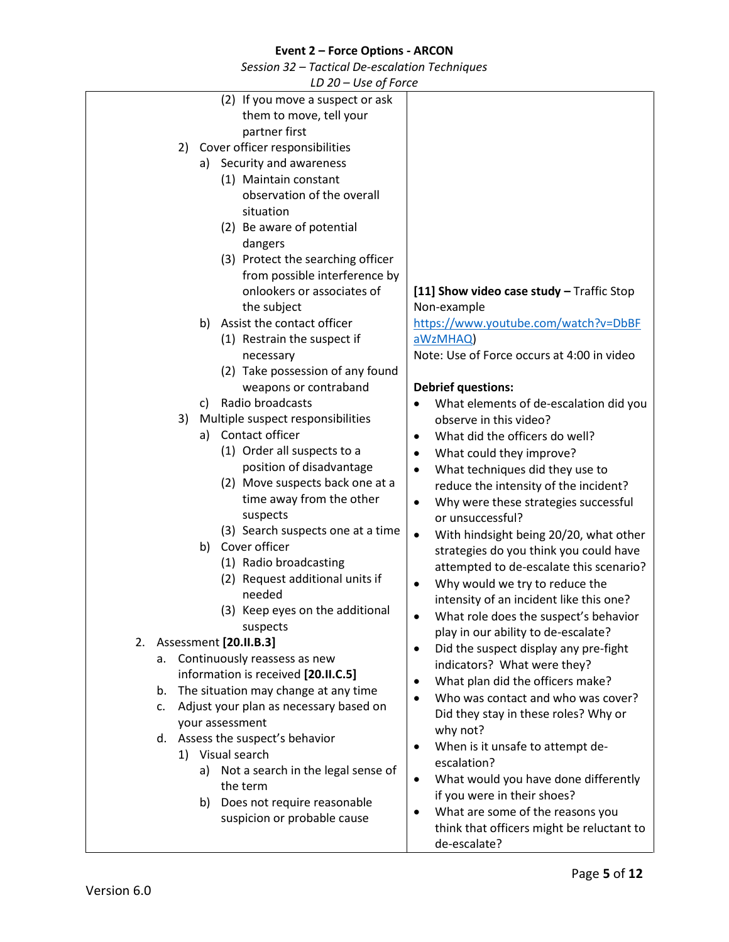| $LD 20 - Use of Force$                                                                                                                                                                                                                                                                                                                                                                                                                   |                                                                                                                                                                                                                                                                                                                                                                                                                                                                                                                                                                                                                                             |
|------------------------------------------------------------------------------------------------------------------------------------------------------------------------------------------------------------------------------------------------------------------------------------------------------------------------------------------------------------------------------------------------------------------------------------------|---------------------------------------------------------------------------------------------------------------------------------------------------------------------------------------------------------------------------------------------------------------------------------------------------------------------------------------------------------------------------------------------------------------------------------------------------------------------------------------------------------------------------------------------------------------------------------------------------------------------------------------------|
| (2) If you move a suspect or ask<br>them to move, tell your<br>partner first<br>Cover officer responsibilities<br>2)<br>a) Security and awareness<br>(1) Maintain constant<br>observation of the overall<br>situation<br>(2) Be aware of potential<br>dangers<br>(3) Protect the searching officer<br>from possible interference by<br>onlookers or associates of                                                                        | [11] Show video case study $-$ Traffic Stop                                                                                                                                                                                                                                                                                                                                                                                                                                                                                                                                                                                                 |
| the subject<br>Assist the contact officer<br>b)<br>(1) Restrain the suspect if<br>necessary<br>(2) Take possession of any found                                                                                                                                                                                                                                                                                                          | Non-example<br>https://www.youtube.com/watch?v=DbBF<br>aWzMHAQ)<br>Note: Use of Force occurs at 4:00 in video                                                                                                                                                                                                                                                                                                                                                                                                                                                                                                                               |
| weapons or contraband<br>Radio broadcasts<br>C)<br>Multiple suspect responsibilities<br>3)<br>Contact officer<br>a)<br>(1) Order all suspects to a<br>position of disadvantage<br>(2) Move suspects back one at a<br>time away from the other<br>suspects<br>(3) Search suspects one at a time<br>b) Cover officer<br>(1) Radio broadcasting<br>(2) Request additional units if<br>needed<br>(3) Keep eyes on the additional<br>suspects | <b>Debrief questions:</b><br>What elements of de-escalation did you<br>observe in this video?<br>What did the officers do well?<br>$\bullet$<br>What could they improve?<br>٠<br>What techniques did they use to<br>$\bullet$<br>reduce the intensity of the incident?<br>Why were these strategies successful<br>$\bullet$<br>or unsuccessful?<br>With hindsight being 20/20, what other<br>$\bullet$<br>strategies do you think you could have<br>attempted to de-escalate this scenario?<br>Why would we try to reduce the<br>$\bullet$<br>intensity of an incident like this one?<br>What role does the suspect's behavior<br>$\bullet$ |
| Assessment [20.II.B.3]<br>2.<br>Continuously reassess as new<br>а.<br>information is received [20.II.C.5]<br>The situation may change at any time<br>b.<br>Adjust your plan as necessary based on<br>C.<br>your assessment<br>d. Assess the suspect's behavior<br>1) Visual search<br>Not a search in the legal sense of<br>a)<br>the term<br>Does not require reasonable<br>b)<br>suspicion or probable cause                           | play in our ability to de-escalate?<br>Did the suspect display any pre-fight<br>$\bullet$<br>indicators? What were they?<br>What plan did the officers make?<br>$\bullet$<br>Who was contact and who was cover?<br>Did they stay in these roles? Why or<br>why not?<br>When is it unsafe to attempt de-<br>$\bullet$<br>escalation?<br>What would you have done differently<br>$\bullet$<br>if you were in their shoes?<br>What are some of the reasons you<br>think that officers might be reluctant to<br>de-escalate?                                                                                                                    |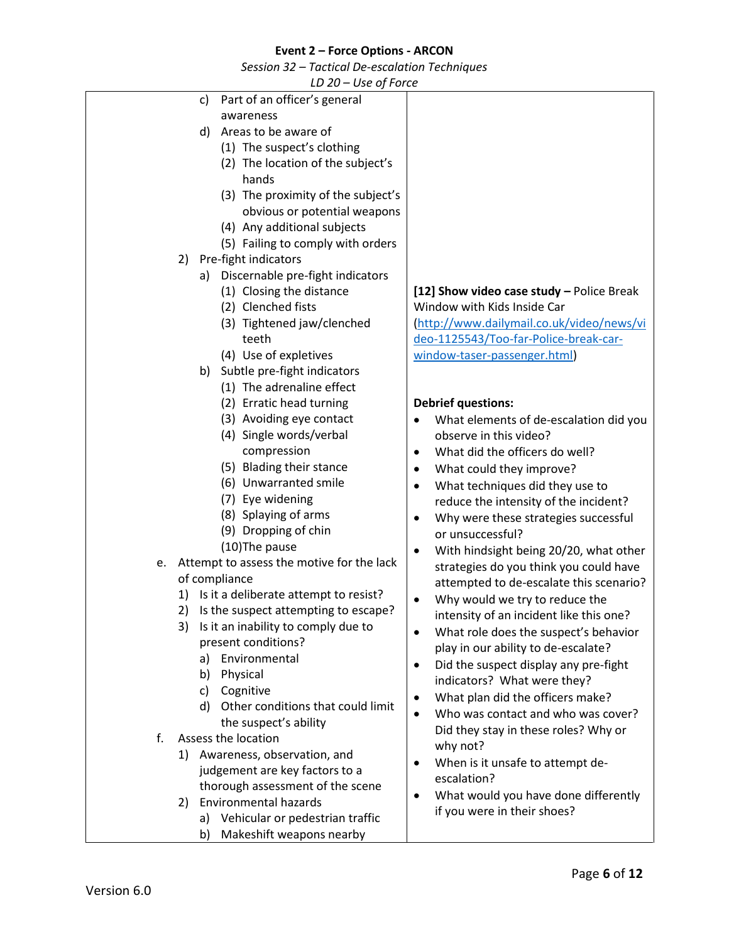| LD 20 - Use of Force                            |                                                    |  |  |  |
|-------------------------------------------------|----------------------------------------------------|--|--|--|
| Part of an officer's general<br>c)              |                                                    |  |  |  |
| awareness                                       |                                                    |  |  |  |
| Areas to be aware of<br>d)                      |                                                    |  |  |  |
| (1) The suspect's clothing                      |                                                    |  |  |  |
| (2) The location of the subject's               |                                                    |  |  |  |
| hands                                           |                                                    |  |  |  |
| (3) The proximity of the subject's              |                                                    |  |  |  |
| obvious or potential weapons                    |                                                    |  |  |  |
| (4) Any additional subjects                     |                                                    |  |  |  |
|                                                 |                                                    |  |  |  |
| (5) Failing to comply with orders               |                                                    |  |  |  |
| Pre-fight indicators<br>2)                      |                                                    |  |  |  |
| Discernable pre-fight indicators<br>a)          |                                                    |  |  |  |
| (1) Closing the distance                        | [12] Show video case study - Police Break          |  |  |  |
| (2) Clenched fists                              | Window with Kids Inside Car                        |  |  |  |
| (3) Tightened jaw/clenched                      | (http://www.dailymail.co.uk/video/news/vi          |  |  |  |
| teeth                                           | deo-1125543/Too-far-Police-break-car-              |  |  |  |
| (4) Use of expletives                           | window-taser-passenger.html)                       |  |  |  |
| Subtle pre-fight indicators<br>b)               |                                                    |  |  |  |
| (1) The adrenaline effect                       |                                                    |  |  |  |
| (2) Erratic head turning                        | <b>Debrief questions:</b>                          |  |  |  |
| (3) Avoiding eye contact                        | What elements of de-escalation did you             |  |  |  |
| (4) Single words/verbal                         | observe in this video?                             |  |  |  |
| compression                                     | What did the officers do well?                     |  |  |  |
| (5) Blading their stance                        | What could they improve?                           |  |  |  |
| (6) Unwarranted smile                           |                                                    |  |  |  |
| (7) Eye widening                                | What techniques did they use to<br>٠               |  |  |  |
| (8) Splaying of arms                            | reduce the intensity of the incident?              |  |  |  |
| (9) Dropping of chin                            | Why were these strategies successful<br>٠          |  |  |  |
|                                                 | or unsuccessful?                                   |  |  |  |
| (10) The pause                                  | With hindsight being 20/20, what other<br>٠        |  |  |  |
| Attempt to assess the motive for the lack<br>e. | strategies do you think you could have             |  |  |  |
| of compliance                                   | attempted to de-escalate this scenario?            |  |  |  |
| 1) Is it a deliberate attempt to resist?        | Why would we try to reduce the<br>٠                |  |  |  |
| 2) Is the suspect attempting to escape?         | intensity of an incident like this one?            |  |  |  |
| Is it an inability to comply due to<br>3)       | What role does the suspect's behavior              |  |  |  |
| present conditions?                             | play in our ability to de-escalate?                |  |  |  |
| Environmental<br>a)                             | Did the suspect display any pre-fight<br>$\bullet$ |  |  |  |
| Physical<br>b)                                  | indicators? What were they?                        |  |  |  |
| Cognitive<br>c)                                 | What plan did the officers make?<br>٠              |  |  |  |
| Other conditions that could limit<br>d)         | Who was contact and who was cover?<br>$\bullet$    |  |  |  |
| the suspect's ability                           |                                                    |  |  |  |
| f.<br>Assess the location                       | Did they stay in these roles? Why or               |  |  |  |
| 1) Awareness, observation, and                  | why not?                                           |  |  |  |
| judgement are key factors to a                  | When is it unsafe to attempt de-<br>٠              |  |  |  |
| thorough assessment of the scene                | escalation?                                        |  |  |  |
| <b>Environmental hazards</b><br>2)              | What would you have done differently               |  |  |  |
| Vehicular or pedestrian traffic<br>a)           | if you were in their shoes?                        |  |  |  |
| Makeshift weapons nearby<br>b)                  |                                                    |  |  |  |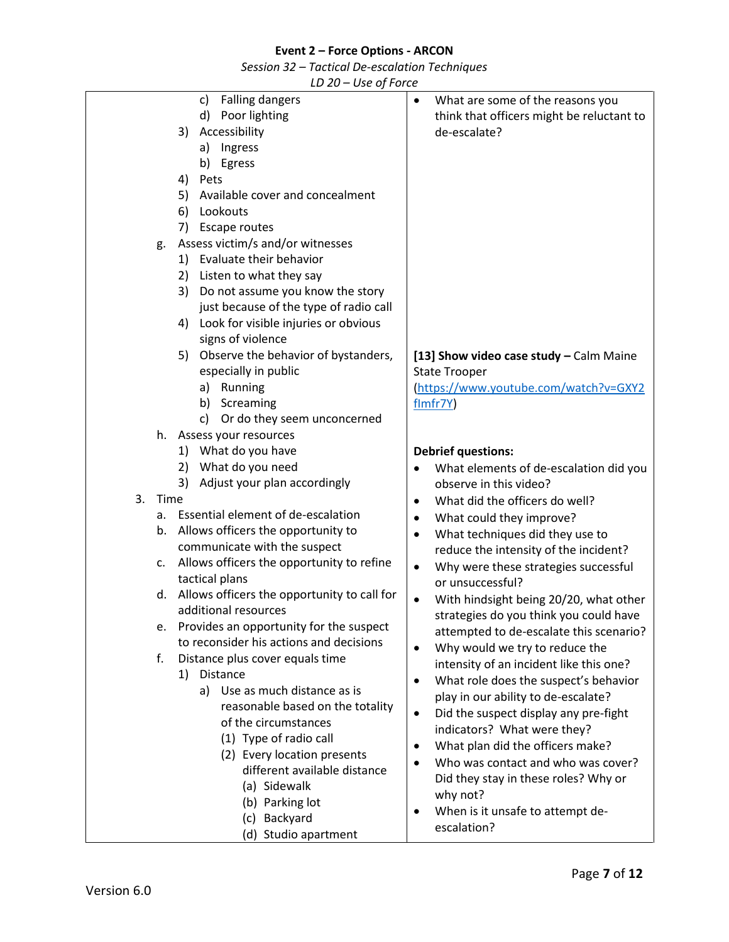*Session 32 – Tactical De-escalation Techniques*

| c) Falling dangers                                | What are some of the reasons you<br>$\bullet$                         |
|---------------------------------------------------|-----------------------------------------------------------------------|
| d) Poor lighting                                  | think that officers might be reluctant to                             |
| Accessibility<br>3)                               | de-escalate?                                                          |
| a) Ingress                                        |                                                                       |
| b) Egress                                         |                                                                       |
| Pets<br>4)                                        |                                                                       |
| 5)<br>Available cover and concealment             |                                                                       |
| Lookouts<br>6)                                    |                                                                       |
| <b>Escape routes</b><br>7)                        |                                                                       |
| Assess victim/s and/or witnesses<br>g.            |                                                                       |
| Evaluate their behavior<br>1)                     |                                                                       |
| Listen to what they say<br>2)                     |                                                                       |
| Do not assume you know the story<br>3)            |                                                                       |
| just because of the type of radio call            |                                                                       |
| Look for visible injuries or obvious<br>4)        |                                                                       |
| signs of violence                                 |                                                                       |
| 5) Observe the behavior of bystanders,            | [13] Show video case study - Calm Maine                               |
| especially in public                              | <b>State Trooper</b>                                                  |
| a) Running                                        | (https://www.youtube.com/watch?v=GXY2                                 |
| b) Screaming                                      | flmfr7Y)                                                              |
| c) Or do they seem unconcerned                    |                                                                       |
| h. Assess your resources                          |                                                                       |
| 1) What do you have                               | <b>Debrief questions:</b>                                             |
| What do you need<br>2)                            | What elements of de-escalation did you                                |
| Adjust your plan accordingly<br>3)                | observe in this video?                                                |
| 3.<br>Time                                        | What did the officers do well?                                        |
| Essential element of de-escalation<br>a.          |                                                                       |
| Allows officers the opportunity to<br>b.          | What could they improve?<br>٠                                         |
| communicate with the suspect                      | What techniques did they use to<br>٠                                  |
| Allows officers the opportunity to refine<br>c.   | reduce the intensity of the incident?                                 |
| tactical plans                                    | Why were these strategies successful<br>$\bullet$<br>or unsuccessful? |
| Allows officers the opportunity to call for<br>d. |                                                                       |
| additional resources                              | With hindsight being 20/20, what other<br>$\bullet$                   |
| Provides an opportunity for the suspect<br>e.     | strategies do you think you could have                                |
| to reconsider his actions and decisions           | attempted to de-escalate this scenario?                               |
| f.<br>Distance plus cover equals time             | Why would we try to reduce the<br>$\bullet$                           |
| Distance<br>1)                                    | intensity of an incident like this one?                               |
| a) Use as much distance as is                     | What role does the suspect's behavior<br>$\bullet$                    |
| reasonable based on the totality                  | play in our ability to de-escalate?                                   |
| of the circumstances                              | Did the suspect display any pre-fight<br>$\bullet$                    |
| (1) Type of radio call                            | indicators? What were they?                                           |
| (2) Every location presents                       | What plan did the officers make?                                      |
| different available distance                      | Who was contact and who was cover?<br>$\bullet$                       |
| (a) Sidewalk                                      | Did they stay in these roles? Why or                                  |
| (b) Parking lot                                   | why not?                                                              |
| (c) Backyard                                      | When is it unsafe to attempt de-                                      |
| (d) Studio apartment                              | escalation?                                                           |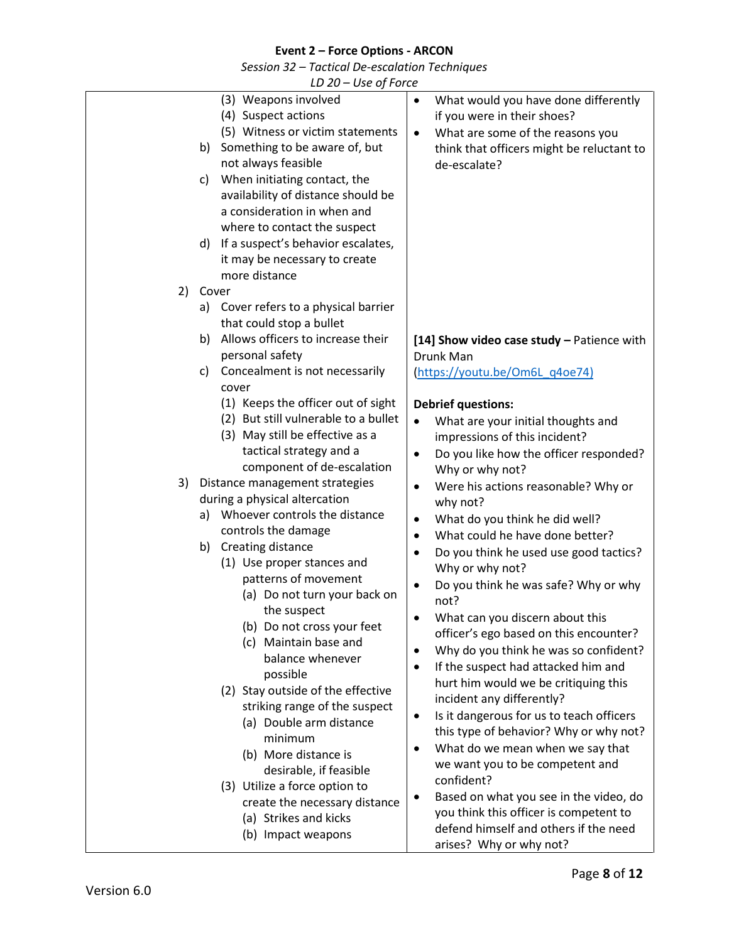|    | LD 20 - Use of Force                                                                                                                                                                                                                                                                                                                                                                                                                                                                                                                                                                                                             |                                                                                                                                                                                                                                                                                                                                                                                                                                                                                                                                                                                                                                                                                                                                                                                                                                                                                                        |
|----|----------------------------------------------------------------------------------------------------------------------------------------------------------------------------------------------------------------------------------------------------------------------------------------------------------------------------------------------------------------------------------------------------------------------------------------------------------------------------------------------------------------------------------------------------------------------------------------------------------------------------------|--------------------------------------------------------------------------------------------------------------------------------------------------------------------------------------------------------------------------------------------------------------------------------------------------------------------------------------------------------------------------------------------------------------------------------------------------------------------------------------------------------------------------------------------------------------------------------------------------------------------------------------------------------------------------------------------------------------------------------------------------------------------------------------------------------------------------------------------------------------------------------------------------------|
|    | (3) Weapons involved<br>(4) Suspect actions<br>(5) Witness or victim statements<br>Something to be aware of, but<br>b)<br>not always feasible<br>When initiating contact, the<br>C)<br>availability of distance should be<br>a consideration in when and<br>where to contact the suspect<br>If a suspect's behavior escalates,<br>d)<br>it may be necessary to create<br>more distance                                                                                                                                                                                                                                           | What would you have done differently<br>$\bullet$<br>if you were in their shoes?<br>What are some of the reasons you<br>$\bullet$<br>think that officers might be reluctant to<br>de-escalate?                                                                                                                                                                                                                                                                                                                                                                                                                                                                                                                                                                                                                                                                                                         |
| 2) | Cover                                                                                                                                                                                                                                                                                                                                                                                                                                                                                                                                                                                                                            |                                                                                                                                                                                                                                                                                                                                                                                                                                                                                                                                                                                                                                                                                                                                                                                                                                                                                                        |
|    | Cover refers to a physical barrier<br>a)<br>that could stop a bullet<br>Allows officers to increase their<br>b)<br>personal safety<br>Concealment is not necessarily<br>C)<br>cover                                                                                                                                                                                                                                                                                                                                                                                                                                              | [14] Show video case study - Patience with<br>Drunk Man<br>(https://youtu.be/Om6L q4oe74)                                                                                                                                                                                                                                                                                                                                                                                                                                                                                                                                                                                                                                                                                                                                                                                                              |
|    | (1) Keeps the officer out of sight<br>(2) But still vulnerable to a bullet<br>(3) May still be effective as a<br>tactical strategy and a<br>component of de-escalation                                                                                                                                                                                                                                                                                                                                                                                                                                                           | <b>Debrief questions:</b><br>What are your initial thoughts and<br>$\bullet$<br>impressions of this incident?<br>Do you like how the officer responded?<br>$\bullet$<br>Why or why not?                                                                                                                                                                                                                                                                                                                                                                                                                                                                                                                                                                                                                                                                                                                |
| 3) | Distance management strategies<br>during a physical altercation<br>Whoever controls the distance<br>a)<br>controls the damage<br>b) Creating distance<br>(1) Use proper stances and<br>patterns of movement<br>(a) Do not turn your back on<br>the suspect<br>(b) Do not cross your feet<br>(c) Maintain base and<br>balance whenever<br>possible<br>(2) Stay outside of the effective<br>striking range of the suspect<br>(a) Double arm distance<br>minimum<br>(b) More distance is<br>desirable, if feasible<br>(3) Utilize a force option to<br>create the necessary distance<br>(a) Strikes and kicks<br>(b) Impact weapons | Were his actions reasonable? Why or<br>$\bullet$<br>why not?<br>What do you think he did well?<br>$\bullet$<br>What could he have done better?<br>$\bullet$<br>Do you think he used use good tactics?<br>$\bullet$<br>Why or why not?<br>Do you think he was safe? Why or why<br>not?<br>What can you discern about this<br>officer's ego based on this encounter?<br>Why do you think he was so confident?<br>$\bullet$<br>If the suspect had attacked him and<br>٠<br>hurt him would we be critiquing this<br>incident any differently?<br>Is it dangerous for us to teach officers<br>$\bullet$<br>this type of behavior? Why or why not?<br>What do we mean when we say that<br>$\bullet$<br>we want you to be competent and<br>confident?<br>Based on what you see in the video, do<br>you think this officer is competent to<br>defend himself and others if the need<br>arises? Why or why not? |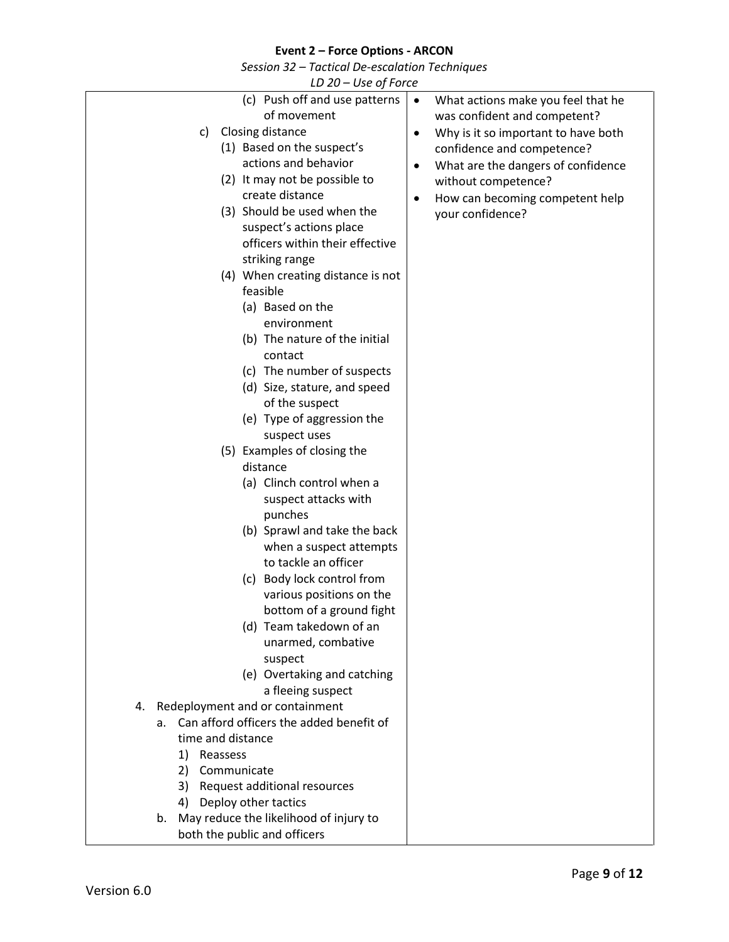|                            | LD 20 - Use of Force                                                                                                                                                                                                                                                                                                                                                                                                                                                                                                                                                                                                                                                                                                                                                                                                                                                |                                                                                                                                                                                                                                                                       |
|----------------------------|---------------------------------------------------------------------------------------------------------------------------------------------------------------------------------------------------------------------------------------------------------------------------------------------------------------------------------------------------------------------------------------------------------------------------------------------------------------------------------------------------------------------------------------------------------------------------------------------------------------------------------------------------------------------------------------------------------------------------------------------------------------------------------------------------------------------------------------------------------------------|-----------------------------------------------------------------------------------------------------------------------------------------------------------------------------------------------------------------------------------------------------------------------|
|                            | (c) Push off and use patterns<br>of movement<br>Closing distance<br>c)<br>(1) Based on the suspect's<br>actions and behavior<br>(2) It may not be possible to<br>create distance<br>(3) Should be used when the<br>suspect's actions place<br>officers within their effective<br>striking range<br>(4) When creating distance is not<br>feasible                                                                                                                                                                                                                                                                                                                                                                                                                                                                                                                    | What actions make you feel that he<br>was confident and competent?<br>Why is it so important to have both<br>٠<br>confidence and competence?<br>What are the dangers of confidence<br>٠<br>without competence?<br>How can becoming competent help<br>your confidence? |
| 4.<br>а.<br>2)<br>4)<br>b. | environment<br>(b) The nature of the initial<br>contact<br>(c) The number of suspects<br>(d) Size, stature, and speed<br>of the suspect<br>(e) Type of aggression the<br>suspect uses<br>(5) Examples of closing the<br>distance<br>(a) Clinch control when a<br>suspect attacks with<br>punches<br>(b) Sprawl and take the back<br>when a suspect attempts<br>to tackle an officer<br>(c) Body lock control from<br>various positions on the<br>bottom of a ground fight<br>(d) Team takedown of an<br>unarmed, combative<br>suspect<br>(e) Overtaking and catching<br>a fleeing suspect<br>Redeployment and or containment<br>Can afford officers the added benefit of<br>time and distance<br>1) Reassess<br>Communicate<br>Request additional resources<br>3)<br>Deploy other tactics<br>May reduce the likelihood of injury to<br>both the public and officers |                                                                                                                                                                                                                                                                       |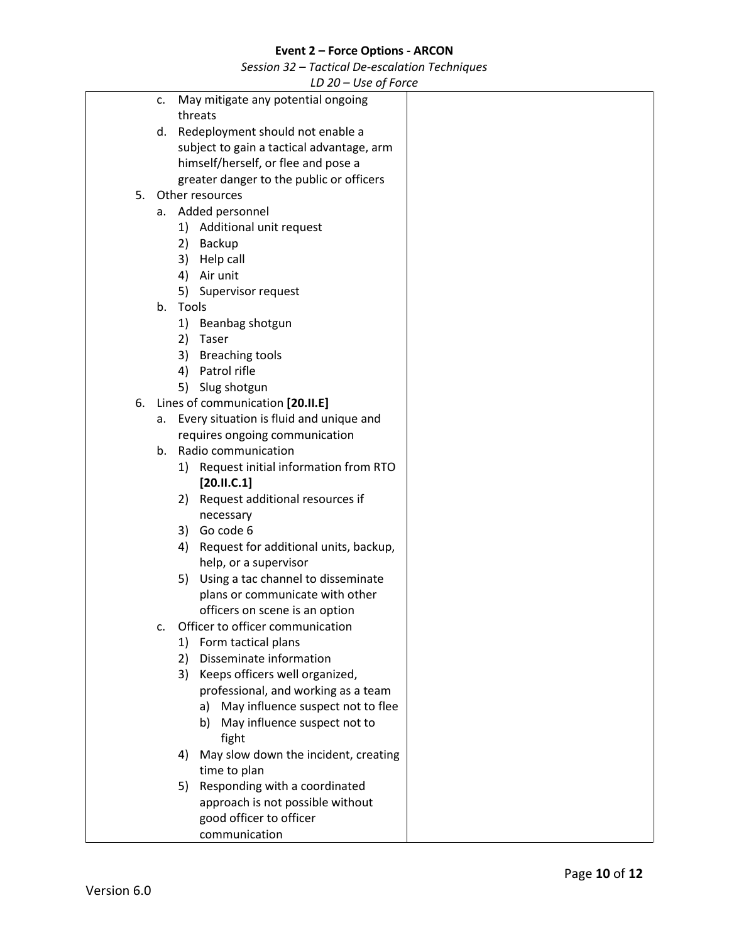*Session 32 – Tactical De-escalation Techniques*

|    |                |       | $20 - 036$ UJ FORCE                        |
|----|----------------|-------|--------------------------------------------|
|    | c.             |       | May mitigate any potential ongoing         |
|    |                |       | threats                                    |
|    |                |       | d. Redeployment should not enable a        |
|    |                |       | subject to gain a tactical advantage, arm  |
|    |                |       | himself/herself, or flee and pose a        |
|    |                |       | greater danger to the public or officers   |
| 5. |                |       | Other resources                            |
|    |                |       | a. Added personnel                         |
|    |                |       | 1) Additional unit request                 |
|    |                | 2)    | Backup                                     |
|    |                | 3)    | Help call                                  |
|    |                |       | 4) Air unit                                |
|    |                |       | 5) Supervisor request                      |
|    | b <sub>1</sub> | Tools |                                            |
|    |                | 1)    | Beanbag shotgun                            |
|    |                | 2)    | Taser                                      |
|    |                | 3)    | <b>Breaching tools</b>                     |
|    |                | 4)    | Patrol rifle                               |
|    |                | 5)    | Slug shotgun                               |
| 6. |                |       | Lines of communication [20.II.E]           |
|    |                |       | a. Every situation is fluid and unique and |
|    |                |       | requires ongoing communication             |
|    | b.             |       | Radio communication                        |
|    |                |       | 1) Request initial information from RTO    |
|    |                |       | [20.11.C.1]                                |
|    |                |       | 2) Request additional resources if         |
|    |                |       | necessary                                  |
|    |                | 3)    | Go code 6                                  |
|    |                | 4)    | Request for additional units, backup,      |
|    |                |       | help, or a supervisor                      |
|    |                | 5)    | Using a tac channel to disseminate         |
|    |                |       | plans or communicate with other            |
|    |                |       | officers on scene is an option             |
|    | c.             |       | Officer to officer communication           |
|    |                | 1)    | Form tactical plans                        |
|    |                | 2)    | Disseminate information                    |
|    |                | 3)    | Keeps officers well organized,             |
|    |                |       | professional, and working as a team        |
|    |                |       | May influence suspect not to flee<br>a)    |
|    |                |       | May influence suspect not to<br>b)         |
|    |                |       | fight                                      |
|    |                | 4)    | May slow down the incident, creating       |
|    |                |       | time to plan                               |
|    |                | 5)    | Responding with a coordinated              |
|    |                |       | approach is not possible without           |
|    |                |       | good officer to officer                    |
|    |                |       | communication                              |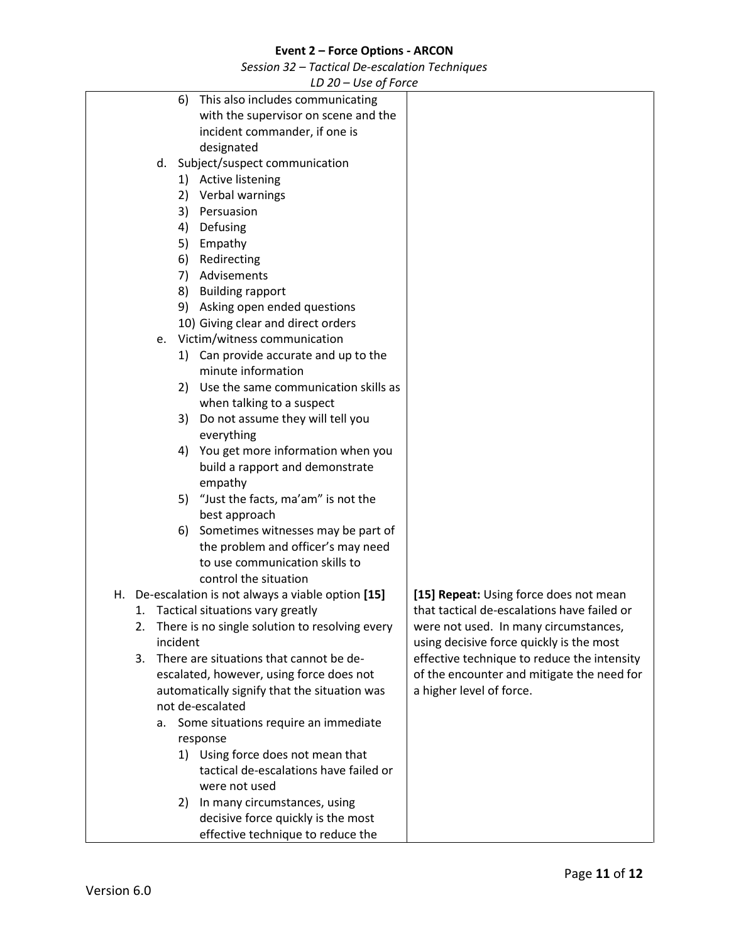*Session 32 – Tactical De-escalation Techniques*

| LD ZU – USE UJ FUILE                                 |                                             |
|------------------------------------------------------|---------------------------------------------|
| This also includes communicating<br>6)               |                                             |
| with the supervisor on scene and the                 |                                             |
| incident commander, if one is                        |                                             |
| designated                                           |                                             |
|                                                      |                                             |
| Subject/suspect communication<br>d.                  |                                             |
| <b>Active listening</b><br>1)                        |                                             |
| Verbal warnings<br>2)                                |                                             |
| 3) Persuasion                                        |                                             |
| 4)<br>Defusing                                       |                                             |
| Empathy<br>5)                                        |                                             |
| Redirecting<br>6)                                    |                                             |
| Advisements<br>7)                                    |                                             |
| <b>Building rapport</b><br>8)                        |                                             |
|                                                      |                                             |
| 9) Asking open ended questions                       |                                             |
| 10) Giving clear and direct orders                   |                                             |
| Victim/witness communication<br>e.                   |                                             |
| 1) Can provide accurate and up to the                |                                             |
| minute information                                   |                                             |
| Use the same communication skills as<br>2)           |                                             |
| when talking to a suspect                            |                                             |
| Do not assume they will tell you<br>3)               |                                             |
| everything                                           |                                             |
| You get more information when you<br>4)              |                                             |
|                                                      |                                             |
| build a rapport and demonstrate                      |                                             |
| empathy                                              |                                             |
| 5) "Just the facts, ma'am" is not the                |                                             |
| best approach                                        |                                             |
| Sometimes witnesses may be part of<br>6)             |                                             |
| the problem and officer's may need                   |                                             |
| to use communication skills to                       |                                             |
| control the situation                                |                                             |
| H. De-escalation is not always a viable option [15]  | [15] Repeat: Using force does not mean      |
| Tactical situations vary greatly<br>1.               | that tactical de-escalations have failed or |
| There is no single solution to resolving every<br>2. | were not used. In many circumstances,       |
| incident                                             |                                             |
|                                                      | using decisive force quickly is the most    |
| There are situations that cannot be de-<br>3.        | effective technique to reduce the intensity |
| escalated, however, using force does not             | of the encounter and mitigate the need for  |
| automatically signify that the situation was         | a higher level of force.                    |
| not de-escalated                                     |                                             |
| Some situations require an immediate<br>a.           |                                             |
| response                                             |                                             |
| 1) Using force does not mean that                    |                                             |
| tactical de-escalations have failed or               |                                             |
| were not used                                        |                                             |
| In many circumstances, using<br>2)                   |                                             |
|                                                      |                                             |
| decisive force quickly is the most                   |                                             |
| effective technique to reduce the                    |                                             |